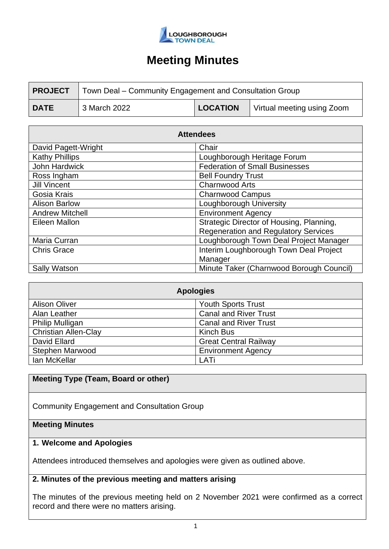

| <b>PROJECT</b> | Town Deal – Community Engagement and Consultation Group |                 |                            |
|----------------|---------------------------------------------------------|-----------------|----------------------------|
| <b>DATE</b>    | 3 March 2022                                            | <b>LOCATION</b> | Virtual meeting using Zoom |

| <b>Attendees</b>       |                                             |  |  |
|------------------------|---------------------------------------------|--|--|
| David Pagett-Wright    | Chair                                       |  |  |
| <b>Kathy Phillips</b>  | Loughborough Heritage Forum                 |  |  |
| John Hardwick          | <b>Federation of Small Businesses</b>       |  |  |
| Ross Ingham            | <b>Bell Foundry Trust</b>                   |  |  |
| <b>Jill Vincent</b>    | <b>Charnwood Arts</b>                       |  |  |
| Gosia Krais            | <b>Charnwood Campus</b>                     |  |  |
| <b>Alison Barlow</b>   | Loughborough University                     |  |  |
| <b>Andrew Mitchell</b> | <b>Environment Agency</b>                   |  |  |
| Eileen Mallon          | Strategic Director of Housing, Planning,    |  |  |
|                        | <b>Regeneration and Regulatory Services</b> |  |  |
| Maria Curran           | Loughborough Town Deal Project Manager      |  |  |
| <b>Chris Grace</b>     | Interim Loughborough Town Deal Project      |  |  |
|                        | Manager                                     |  |  |
| <b>Sally Watson</b>    | Minute Taker (Charnwood Borough Council)    |  |  |

| <b>Apologies</b>            |                              |  |  |
|-----------------------------|------------------------------|--|--|
| <b>Alison Oliver</b>        | <b>Youth Sports Trust</b>    |  |  |
| Alan Leather                | <b>Canal and River Trust</b> |  |  |
| <b>Philip Mulligan</b>      | <b>Canal and River Trust</b> |  |  |
| <b>Christian Allen-Clay</b> | Kinch Bus                    |  |  |
| David Ellard                | <b>Great Central Railway</b> |  |  |
| <b>Stephen Marwood</b>      | <b>Environment Agency</b>    |  |  |
| Ian McKellar                | LATi                         |  |  |

#### **Meeting Type (Team, Board or other)**

Community Engagement and Consultation Group

## **Meeting Minutes**

### **1. Welcome and Apologies**

Attendees introduced themselves and apologies were given as outlined above.

#### **2. Minutes of the previous meeting and matters arising**

The minutes of the previous meeting held on 2 November 2021 were confirmed as a correct record and there were no matters arising.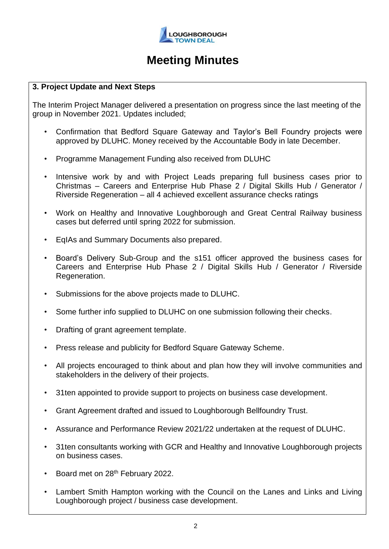

#### **3. Project Update and Next Steps**

The Interim Project Manager delivered a presentation on progress since the last meeting of the group in November 2021. Updates included;

- Confirmation that Bedford Square Gateway and Taylor's Bell Foundry projects were approved by DLUHC. Money received by the Accountable Body in late December.
- Programme Management Funding also received from DLUHC
- Intensive work by and with Project Leads preparing full business cases prior to Christmas – Careers and Enterprise Hub Phase 2 / Digital Skills Hub / Generator / Riverside Regeneration – all 4 achieved excellent assurance checks ratings
- Work on Healthy and Innovative Loughborough and Great Central Railway business cases but deferred until spring 2022 for submission.
- EqIAs and Summary Documents also prepared.
- Board's Delivery Sub-Group and the s151 officer approved the business cases for Careers and Enterprise Hub Phase 2 / Digital Skills Hub / Generator / Riverside Regeneration.
- Submissions for the above projects made to DLUHC.
- Some further info supplied to DLUHC on one submission following their checks.
- Drafting of grant agreement template.
- Press release and publicity for Bedford Square Gateway Scheme.
- All projects encouraged to think about and plan how they will involve communities and stakeholders in the delivery of their projects.
- 31ten appointed to provide support to projects on business case development.
- Grant Agreement drafted and issued to Loughborough Bellfoundry Trust.
- Assurance and Performance Review 2021/22 undertaken at the request of DLUHC.
- 31ten consultants working with GCR and Healthy and Innovative Loughborough projects on business cases.
- Board met on 28<sup>th</sup> February 2022.
- Lambert Smith Hampton working with the Council on the Lanes and Links and Living Loughborough project / business case development.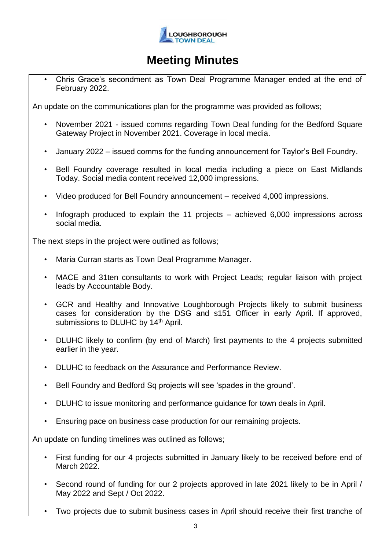

• Chris Grace's secondment as Town Deal Programme Manager ended at the end of February 2022.

An update on the communications plan for the programme was provided as follows;

- November 2021 issued comms regarding Town Deal funding for the Bedford Square Gateway Project in November 2021. Coverage in local media.
- January 2022 issued comms for the funding announcement for Taylor's Bell Foundry.
- Bell Foundry coverage resulted in local media including a piece on East Midlands Today. Social media content received 12,000 impressions.
- Video produced for Bell Foundry announcement received 4,000 impressions.
- Infograph produced to explain the 11 projects  $-$  achieved 6,000 impressions across social media.

The next steps in the project were outlined as follows;

- Maria Curran starts as Town Deal Programme Manager.
- MACE and 31ten consultants to work with Project Leads; regular liaison with project leads by Accountable Body.
- GCR and Healthy and Innovative Loughborough Projects likely to submit business cases for consideration by the DSG and s151 Officer in early April. If approved, submissions to DLUHC by 14<sup>th</sup> April.
- DLUHC likely to confirm (by end of March) first payments to the 4 projects submitted earlier in the year.
- DLUHC to feedback on the Assurance and Performance Review.
- Bell Foundry and Bedford Sq projects will see 'spades in the ground'.
- DLUHC to issue monitoring and performance guidance for town deals in April.
- Ensuring pace on business case production for our remaining projects.

An update on funding timelines was outlined as follows;

- First funding for our 4 projects submitted in January likely to be received before end of March 2022.
- Second round of funding for our 2 projects approved in late 2021 likely to be in April / May 2022 and Sept / Oct 2022.
- Two projects due to submit business cases in April should receive their first tranche of